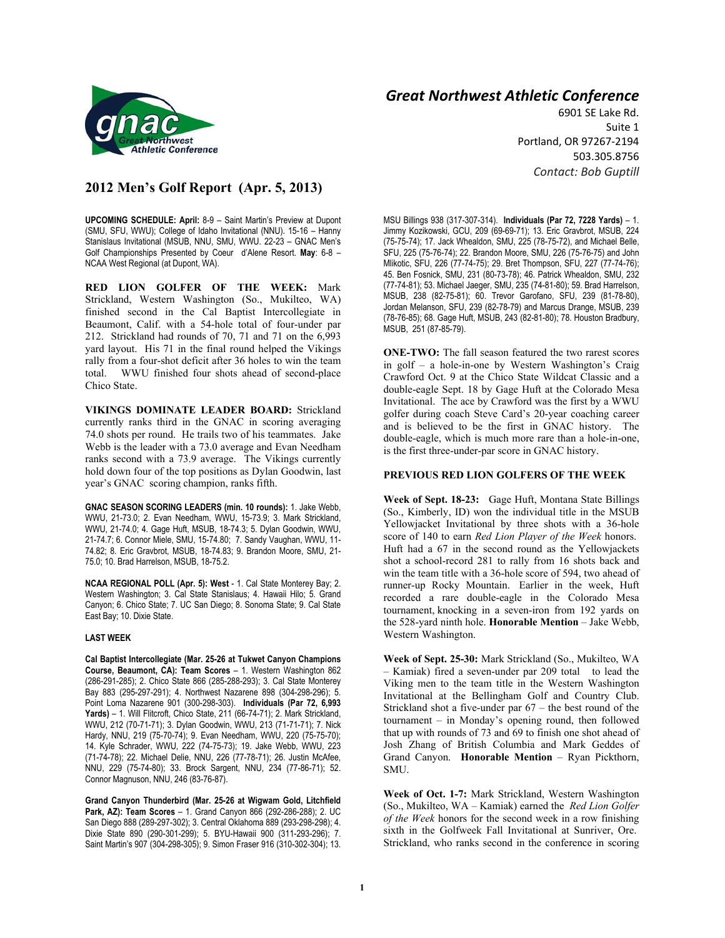

## **2012 Men's Golf Report (Apr. 5, 2013)**

**UPCOMING SCHEDULE: April:** 8-9 – Saint Martin's Preview at Dupont (SMU, SFU, WWU); College of Idaho Invitational (NNU). 15-16 – Hanny Stanislaus Invitational (MSUB, NNU, SMU, WWU. 22-23 – GNAC Men's Golf Championships Presented by Coeur d'Alene Resort. **May**: 6-8 – NCAA West Regional (at Dupont, WA).

**RED LION GOLFER OF THE WEEK:** Mark Strickland, Western Washington (So., Mukilteo, WA) finished second in the Cal Baptist Intercollegiate in Beaumont, Calif. with a 54-hole total of four-under par 212. Strickland had rounds of 70, 71 and 71 on the 6,993 yard layout. His 71 in the final round helped the Vikings rally from a four-shot deficit after 36 holes to win the team total. WWU finished four shots ahead of second-place Chico State.

**VIKINGS DOMINATE LEADER BOARD:** Strickland currently ranks third in the GNAC in scoring averaging 74.0 shots per round. He trails two of his teammates. Jake Webb is the leader with a 73.0 average and Evan Needham ranks second with a 73.9 average. The Vikings currently hold down four of the top positions as Dylan Goodwin, last year's GNAC scoring champion, ranks fifth.

**GNAC SEASON SCORING LEADERS (min. 10 rounds):** 1. Jake Webb, WWU, 21-73.0; 2. Evan Needham, WWU, 15-73.9; 3. Mark Strickland, WWU, 21-74.0; 4. Gage Huft, MSUB, 18-74.3; 5. Dylan Goodwin, WWU, 21-74.7; 6. Connor Miele, SMU, 15-74.80; 7. Sandy Vaughan, WWU, 11- 74.82; 8. Eric Gravbrot, MSUB, 18-74.83; 9. Brandon Moore, SMU, 21- 75.0; 10. Brad Harrelson, MSUB, 18-75.2.

**NCAA REGIONAL POLL (Apr. 5): West** - 1. Cal State Monterey Bay; 2. Western Washington; 3. Cal State Stanislaus; 4. Hawaii Hilo; 5. Grand Canyon; 6. Chico State; 7. UC San Diego; 8. Sonoma State; 9. Cal State East Bay; 10. Dixie State.

## **LAST WEEK**

**Cal Baptist Intercollegiate (Mar. 25-26 at Tukwet Canyon Champions Course, Beaumont, CA): Team Scores** – 1. Western Washington 862 (286-291-285); 2. Chico State 866 (285-288-293); 3. Cal State Monterey Bay 883 (295-297-291); 4. Northwest Nazarene 898 (304-298-296); 5. Point Loma Nazarene 901 (300-298-303). **Individuals (Par 72, 6,993 Yards)** – 1. Will Flitcroft, Chico State, 211 (66-74-71); 2. Mark Strickland, WWU, 212 (70-71-71); 3. Dylan Goodwin, WWU, 213 (71-71-71); 7. Nick Hardy, NNU, 219 (75-70-74); 9. Evan Needham, WWU, 220 (75-75-70); 14. Kyle Schrader, WWU, 222 (74-75-73); 19. Jake Webb, WWU, 223 (71-74-78); 22. Michael Delie, NNU, 226 (77-78-71); 26. Justin McAfee, NNU, 229 (75-74-80); 33. Brock Sargent, NNU, 234 (77-86-71); 52. Connor Magnuson, NNU, 246 (83-76-87).

**Grand Canyon Thunderbird (Mar. 25-26 at Wigwam Gold, Litchfield Park, AZ): Team Scores** – 1. Grand Canyon 866 (292-286-288); 2. UC San Diego 888 (289-297-302); 3. Central Oklahoma 889 (293-298-298); 4. Dixie State 890 (290-301-299); 5. BYU-Hawaii 900 (311-293-296); 7. Saint Martin's 907 (304-298-305); 9. Simon Fraser 916 (310-302-304); 13.

## *Great Northwest Athletic Conference*

6901 SE Lake Rd. Suite 1 Portland, OR 97267-2194 503.305.8756 *Contact: Bob Guptill* 

MSU Billings 938 (317-307-314). **Individuals (Par 72, 7228 Yards)** – 1. Jimmy Kozikowski, GCU, 209 (69-69-71); 13. Eric Gravbrot, MSUB, 224 (75-75-74); 17. Jack Whealdon, SMU, 225 (78-75-72), and Michael Belle, SFU, 225 (75-76-74); 22. Brandon Moore, SMU, 226 (75-76-75) and John Mlikotic, SFU, 226 (77-74-75); 29. Bret Thompson, SFU, 227 (77-74-76); 45. Ben Fosnick, SMU, 231 (80-73-78); 46. Patrick Whealdon, SMU, 232 (77-74-81); 53. Michael Jaeger, SMU, 235 (74-81-80); 59. Brad Harrelson, MSUB, 238 (82-75-81); 60. Trevor Garofano, SFU, 239 (81-78-80), Jordan Melanson, SFU, 239 (82-78-79) and Marcus Drange, MSUB, 239 (78-76-85); 68. Gage Huft, MSUB, 243 (82-81-80); 78. Houston Bradbury, MSUB, 251 (87-85-79).

**ONE-TWO:** The fall season featured the two rarest scores in golf – a hole-in-one by Western Washington's Craig Crawford Oct. 9 at the Chico State Wildcat Classic and a double-eagle Sept. 18 by Gage Huft at the Colorado Mesa Invitational. The ace by Crawford was the first by a WWU golfer during coach Steve Card's 20-year coaching career and is believed to be the first in GNAC history. The double-eagle, which is much more rare than a hole-in-one, is the first three-under-par score in GNAC history.

## **PREVIOUS RED LION GOLFERS OF THE WEEK**

**Week of Sept. 18-23:** Gage Huft, Montana State Billings (So., Kimberly, ID) won the individual title in the MSUB Yellowjacket Invitational by three shots with a 36-hole score of 140 to earn *Red Lion Player of the Week* honors. Huft had a 67 in the second round as the Yellowjackets shot a school-record 281 to rally from 16 shots back and win the team title with a 36-hole score of 594, two ahead of runner-up Rocky Mountain. Earlier in the week, Huft recorded a rare double-eagle in the Colorado Mesa tournament, knocking in a seven-iron from 192 yards on the 528-yard ninth hole. **Honorable Mention** – Jake Webb, Western Washington.

**Week of Sept. 25-30:** Mark Strickland (So., Mukilteo, WA – Kamiak) fired a seven-under par 209 total to lead the Viking men to the team title in the Western Washington Invitational at the Bellingham Golf and Country Club. Strickland shot a five-under par 67 – the best round of the tournament – in Monday's opening round, then followed that up with rounds of 73 and 69 to finish one shot ahead of Josh Zhang of British Columbia and Mark Geddes of Grand Canyon. **Honorable Mention** – Ryan Pickthorn, SMU.

**Week of Oct. 1-7:** Mark Strickland, Western Washington (So., Mukilteo, WA – Kamiak) earned the *Red Lion Golfer of the Week* honors for the second week in a row finishing sixth in the Golfweek Fall Invitational at Sunriver, Ore. Strickland, who ranks second in the conference in scoring